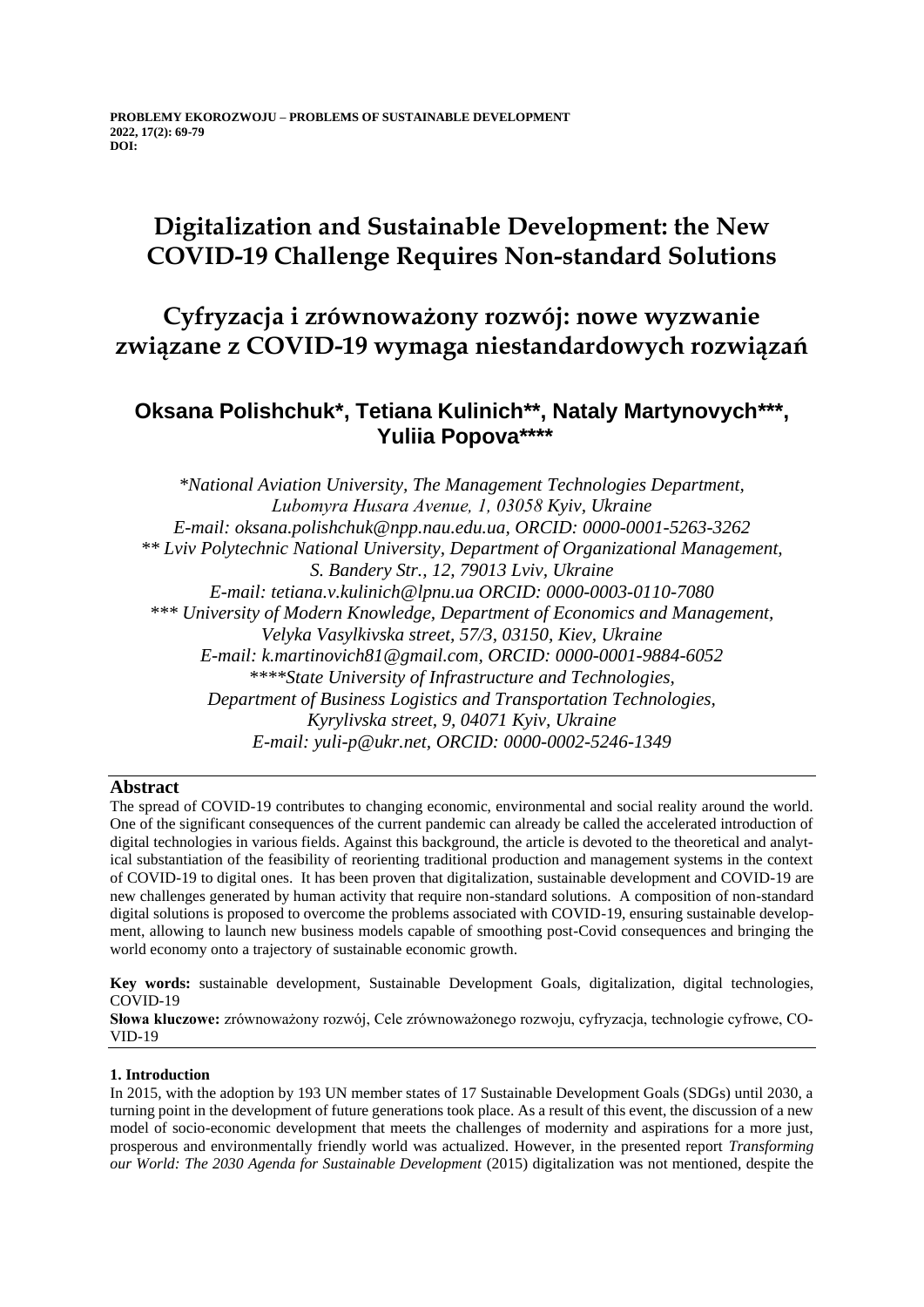# **Digitalization and Sustainable Development: the New COVID-19 Challenge Requires Non-standard Solutions**

## **Cyfryzacja i zrównoważony rozwój: nowe wyzwanie związane z COVID-19 wymaga niestandardowych rozwiązań**

## **Oksana Polishchuk\*, Tetiana Kulinich\*\*, Nataly Martynovych\*\*\*, Yuliia Popova\*\*\*\***

*\*National Aviation University, The Management Technologies Department, Lubomyrа Husarа Avenue, 1, 03058 Kyiv, Ukraine E-mail: oksana.polishchuk@npp.nau.edu.ua, ORCID: 0000-0001-5263-3262 \*\* Lviv Polytechnic National University, Department of Organizational Management, S. Bandery Str., 12, 79013 Lviv, Ukraine E-mail: tetiana.v.kulinich@lpnu.ua ORCID: 0000-0003-0110-7080 \*\*\* University of Modern Knowledge, Department of Economics and Management, Velyka Vasylkivska street, 57/3, 03150, Kiev, Ukraine E-mail: k.martinovich81@gmail.com, ORCID: 0000-0001-9884-6052 \*\*\*\*State University of Infrastructure and Technologies, Department of Business Logistics and Transportation Technologies, Kyrylivska street, 9, 04071 Kyiv, Ukraine E-mail: yuli-p@ukr.net, ORCID: 0000-0002-5246-1349*

### **Abstract**

The spread of COVID-19 contributes to changing economic, environmental and social reality around the world. One of the significant consequences of the current pandemic can already be called the accelerated introduction of digital technologies in various fields. Against this background, the article is devoted to the theoretical and analytical substantiation of the feasibility of reorienting traditional production and management systems in the context of COVID-19 to digital ones. It has been proven that digitalization, sustainable development and COVID-19 are new challenges generated by human activity that require non-standard solutions. A composition of non-standard digital solutions is proposed to overcome the problems associated with COVID-19, ensuring sustainable development, allowing to launch new business models capable of smoothing post-Covid consequences and bringing the world economy onto a trajectory of sustainable economic growth.

**Key words:** sustainable development, Sustainable Development Goals, digitalization, digital technologies, COVID-19

**Słowa kluczowe:** zrównoważony rozwój, Cele zrównoważonego rozwoju, cyfryzacja, technologie cyfrowe, CO-VID-19

### **1. Introduction**

In 2015, with the adoption by 193 UN member states of 17 Sustainable Development Goals (SDGs) until 2030, a turning point in the development of future generations took place. As a result of this event, the discussion of a new model of socio-economic development that meets the challenges of modernity and aspirations for a more just, prosperous and environmentally friendly world was actualized. However, in the presented report *Transforming our World: The 2030 Agenda for Sustainable Development* (2015) digitalization was not mentioned, despite the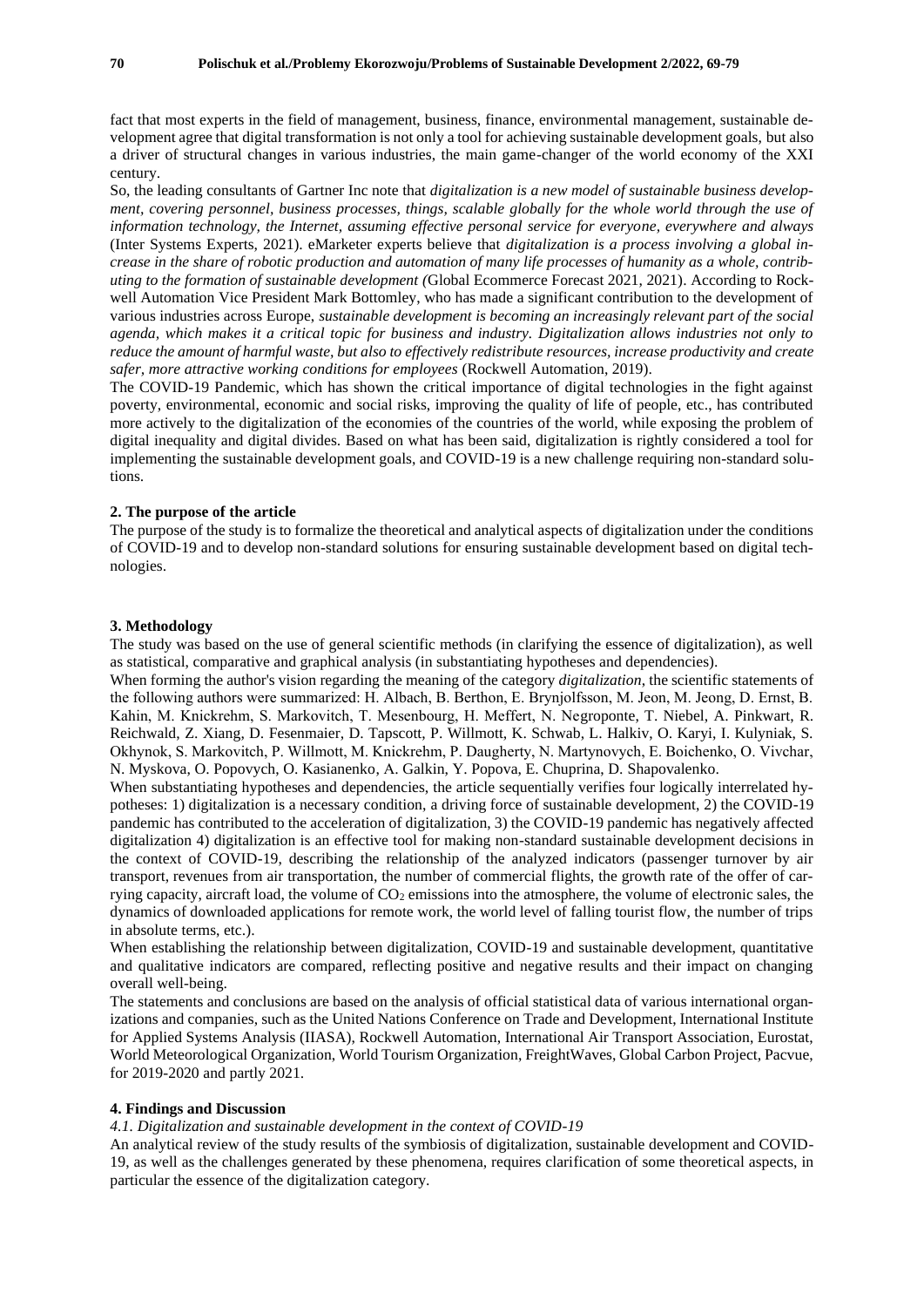fact that most experts in the field of management, business, finance, environmental management, sustainable development agree that digital transformation is not only a tool for achieving sustainable development goals, but also a driver of structural changes in various industries, the main game-changer of the world economy of the XXI century.

So, the leading consultants of Gartner Inc note that *digitalization is a new model of sustainable business development, covering personnel, business processes, things, scalable globally for the whole world through the use of information technology, the Internet, assuming effective personal service for everyone, everywhere and always*  (Inter Systems Experts, 2021). eMarketer experts believe that *digitalization is a process involving a global increase in the share of robotic production and automation of many life processes of humanity as a whole, contributing to the formation of sustainable development (*Global Ecommerce Forecast 2021, 2021). According to Rockwell Automation Vice President Mark Bottomley, who has made a significant contribution to the development of various industries across Europe, *sustainable development is becoming an increasingly relevant part of the social agenda, which makes it a critical topic for business and industry. Digitalization allows industries not only to reduce the amount of harmful waste, but also to effectively redistribute resources, increase productivity and create safer, more attractive working conditions for employees* (Rockwell Automation, 2019).

The COVID-19 Pandemic, which has shown the critical importance of digital technologies in the fight against poverty, environmental, economic and social risks, improving the quality of life of people, etc., has contributed more actively to the digitalization of the economies of the countries of the world, while exposing the problem of digital inequality and digital divides. Based on what has been said, digitalization is rightly considered a tool for implementing the sustainable development goals, and COVID-19 is a new challenge requiring non-standard solutions.

#### **2. The purpose of the article**

The purpose of the study is to formalize the theoretical and analytical aspects of digitalization under the conditions of COVID-19 and to develop non-standard solutions for ensuring sustainable development based on digital technologies.

#### **3. Methodology**

The study was based on the use of general scientific methods (in clarifying the essence of digitalization), as well as statistical, comparative and graphical analysis (in substantiating hypotheses and dependencies).

When forming the author's vision regarding the meaning of the category *digitalization*, the scientific statements of the following authors were summarized: H. Albach, B. Berthon, Е. Brynjolfsson, М. Jeon, М. Jeong, D. Ernst, B. Kahin, М. Knickrehm, S. Markovitch, T. Mesenbourg, H. Meffert, N. Negroponte, T. Niebel, A. Pinkwart, R. Reichwald, Z. Xiang, D. Fesenmaier, D. Tapscott, P. Willmott, K. Schwab, L. Halkiv, O. Karyi, I. Kulyniak, S. Okhynok, S. Markovitch, P. Willmott, М. Knickrehm, Р. Daugherty, N. Martynovych, E. Boichenko, O. Vivchar, N. Myskova, O. Popovych, O. Kasianenko, А. Galkin, Y. Popova, E. Chuprina, D. Shapovalenko.

When substantiating hypotheses and dependencies, the article sequentially verifies four logically interrelated hypotheses: 1) digitalization is a necessary condition, a driving force of sustainable development, 2) the COVID-19 pandemic has contributed to the acceleration of digitalization, 3) the COVID-19 pandemic has negatively affected digitalization 4) digitalization is an effective tool for making non-standard sustainable development decisions in the context of COVID-19, describing the relationship of the analyzed indicators (passenger turnover by air transport, revenues from air transportation, the number of commercial flights, the growth rate of the offer of carrying capacity, aircraft load, the volume of  $CO<sub>2</sub>$  emissions into the atmosphere, the volume of electronic sales, the dynamics of downloaded applications for remote work, the world level of falling tourist flow, the number of trips in absolute terms, etc.).

When establishing the relationship between digitalization, COVID-19 and sustainable development, quantitative and qualitative indicators are compared, reflecting positive and negative results and their impact on changing overall well-being.

The statements and conclusions are based on the analysis of official statistical data of various international organizations and companies, such as the United Nations Conference on Trade and Development, International Institute for Applied Systems Analysis (IIASA), Rockwell Automation, International Air Transport Association, Eurostat, World Meteorological Organization, World Tourism Organization, FreightWaves, Global Carbon Project, Pacvue, for 2019-2020 and partly 2021.

#### **4. Findings and Discussion**

#### *4.1. Digitalization and sustainable development in the context of COVID-19*

An analytical review of the study results of the symbiosis of digitalization, sustainable development and COVID-19, as well as the challenges generated by these phenomena, requires clarification of some theoretical aspects, in particular the essence of the digitalization category.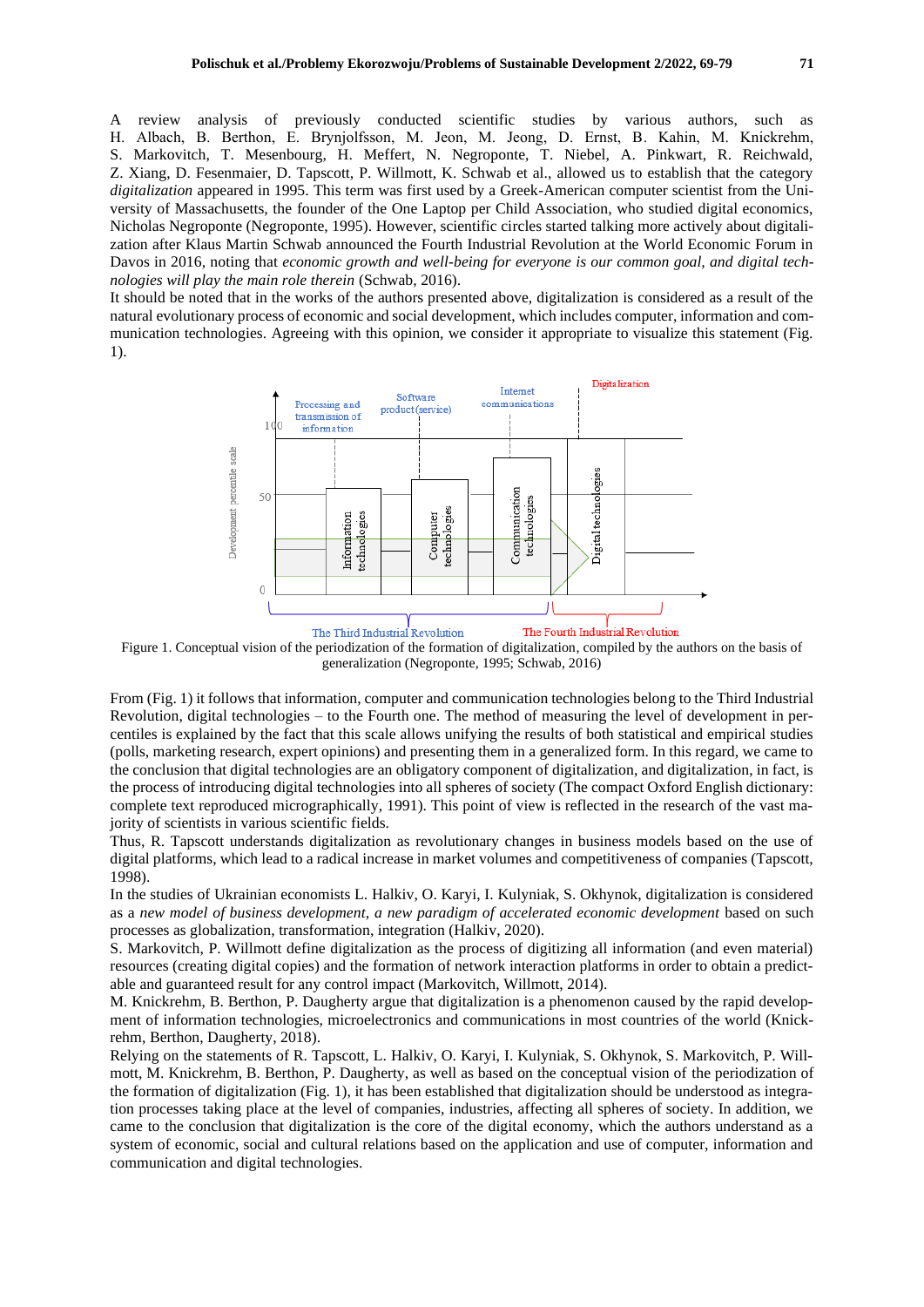A review analysis of previously conducted scientific studies by various authors, such as H. Albach, B. Berthon, Е. Brynjolfsson, М. Jeon, М. Jeong, D. Ernst, B. Kahin, М. Knickrehm, S. Markovitch, T. Mesenbourg, H. Meffert, N. Negroponte, T. Niebel, A. Pinkwart, R. Reichwald, Z. Xiang, D. Fesenmaier, D. Tapscott, P. Willmott, K. Schwab et al., allowed us to establish that the category *digitalization* appeared in 1995. This term was first used by a Greek-American computer scientist from the University of Massachusetts, the founder of the One Laptop per Child Association, who studied digital economics, Nicholas Negroponte (Negroponte, 1995). However, scientific circles started talking more actively about digitalization after Klaus Martin Schwab announced the Fourth Industrial Revolution at the World Economic Forum in Davos in 2016, noting that *economic growth and well-being for everyone is our common goal, and digital technologies will play the main role therein* (Schwab, 2016).

It should be noted that in the works of the authors presented above, digitalization is considered as a result of the natural evolutionary process of economic and social development, which includes computer, information and communication technologies. Agreeing with this opinion, we consider it appropriate to visualize this statement (Fig. 1).



Figure 1. Conceptual vision of the periodization of the formation of digitalization, compiled by the authors on the basis of generalization (Negroponte, 1995; Schwab, 2016)

From (Fig. 1) it follows that information, computer and communication technologies belong to the Third Industrial Revolution, digital technologies – to the Fourth one. The method of measuring the level of development in percentiles is explained by the fact that this scale allows unifying the results of both statistical and empirical studies (polls, marketing research, expert opinions) and presenting them in a generalized form. In this regard, we came to the conclusion that digital technologies are an obligatory component of digitalization, and digitalization, in fact, is the process of introducing digital technologies into all spheres of society (The compact Oxford English dictionary: complete text reproduced micrographically, 1991). This point of view is reflected in the research of the vast majority of scientists in various scientific fields.

Thus, R. Tapscott understands digitalization as revolutionary changes in business models based on the use of digital platforms, which lead to a radical increase in market volumes and competitiveness of companies (Tapscott, 1998).

In the studies of Ukrainian economists L. Halkiv, O. Karyi, I. Kulyniak, S. Okhynok, digitalization is considered as a *new model of business development*, *a new paradigm of accelerated economic development* based on such processes as globalization, transformation, integration (Halkiv, 2020).

S. Markovitch, P. Willmott define digitalization as the process of digitizing all information (and even material) resources (creating digital copies) and the formation of network interaction platforms in order to obtain a predictable and guaranteed result for any control impact (Markovitch, Willmott, 2014).

M. Knickrehm, B. Berthon, P. Daugherty argue that digitalization is a phenomenon caused by the rapid development of information technologies, microelectronics and communications in most countries of the world (Knickrehm, Berthon, Daugherty, 2018).

Relying on the statements of R. Tapscott, L. Halkiv, O. Karyi, I. Kulyniak, S. Okhynok, S. Markovitch, P. Willmott, M. Knickrehm, B. Berthon, P. Daugherty, as well as based on the conceptual vision of the periodization of the formation of digitalization (Fig. 1), it has been established that digitalization should be understood as integration processes taking place at the level of companies, industries, affecting all spheres of society. In addition, we came to the conclusion that digitalization is the core of the digital economy, which the authors understand as a system of economic, social and cultural relations based on the application and use of computer, information and communication and digital technologies.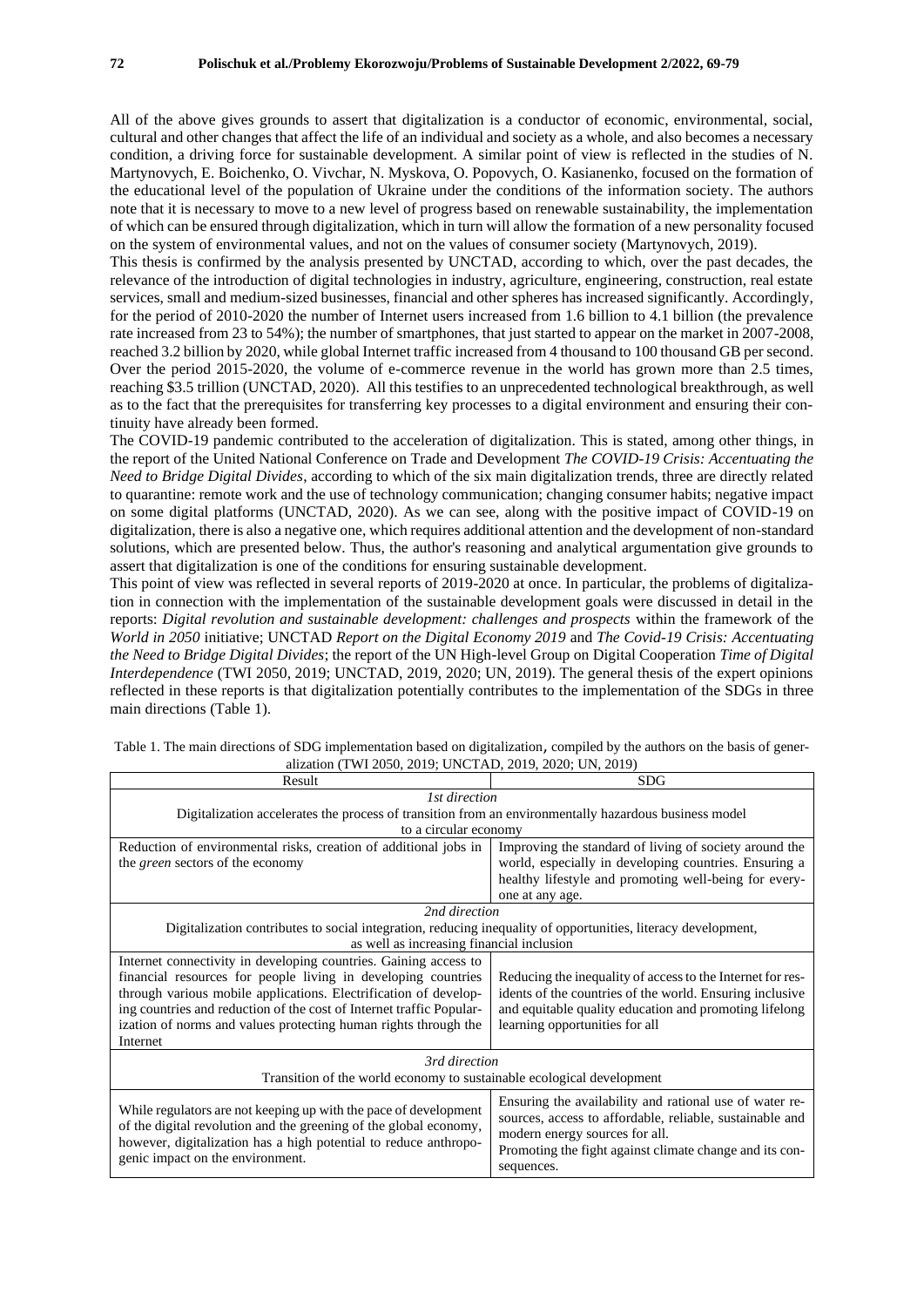All of the above gives grounds to assert that digitalization is a conductor of economic, environmental, social, cultural and other changes that affect the life of an individual and society as a whole, and also becomes a necessary condition, a driving force for sustainable development. A similar point of view is reflected in the studies of N. Martynovych, E. Boichenko, O. Vivchar, N. Myskova, O. Popovych, O. Kasianenko, focused on the formation of the educational level of the population of Ukraine under the conditions of the information society. The authors note that it is necessary to move to a new level of progress based on renewable sustainability, the implementation of which can be ensured through digitalization, which in turn will allow the formation of a new personality focused on the system of environmental values, and not on the values of consumer society (Martynovych, 2019).

This thesis is confirmed by the analysis presented by UNCTAD, according to which, over the past decades, the relevance of the introduction of digital technologies in industry, agriculture, engineering, construction, real estate services, small and medium-sized businesses, financial and other spheres has increased significantly. Accordingly, for the period of 2010-2020 the number of Internet users increased from 1.6 billion to 4.1 billion (the prevalence rate increased from 23 to 54%); the number of smartphones, that just started to appear on the market in 2007-2008, reached 3.2 billion by 2020, while global Internet traffic increased from 4 thousand to 100 thousand GB per second. Over the period 2015-2020, the volume of e-commerce revenue in the world has grown more than 2.5 times, reaching \$3.5 trillion (UNCTAD, 2020). All this testifies to an unprecedented technological breakthrough, as well as to the fact that the prerequisites for transferring key processes to a digital environment and ensuring their continuity have already been formed.

The COVID-19 pandemic contributed to the acceleration of digitalization. This is stated, among other things, in the report of the United National Conference on Trade and Development *The COVID-19 Crisis: Accentuating the Need to Bridge Digital Divides*, according to which of the six main digitalization trends, three are directly related to quarantine: remote work and the use of technology communication; changing consumer habits; negative impact on some digital platforms (UNCTAD, 2020). As we can see, along with the positive impact of COVID-19 on digitalization, there is also a negative one, which requires additional attention and the development of non-standard solutions, which are presented below. Thus, the author's reasoning and analytical argumentation give grounds to assert that digitalization is one of the conditions for ensuring sustainable development.

This point of view was reflected in several reports of 2019-2020 at once. In particular, the problems of digitalization in connection with the implementation of the sustainable development goals were discussed in detail in the reports: *Digital revolution and sustainable development: challenges and prospects* within the framework of the *World in 2050* initiative; UNCTAD *Report on the Digital Economy 2019* and *The Covid-19 Crisis: Accentuating the Need to Bridge Digital Divides*; the report of the UN High-level Group on Digital Cooperation *Time of Digital Interdependence* (TWI 2050, 2019; UNCTAD, 2019, 2020; UN, 2019). The general thesis of the expert opinions reflected in these reports is that digitalization potentially contributes to the implementation of the SDGs in three main directions (Table 1).

| Result                                                                                                                                                                                                                                        | <b>SDG</b>                                                                                                                                                                                                                     |
|-----------------------------------------------------------------------------------------------------------------------------------------------------------------------------------------------------------------------------------------------|--------------------------------------------------------------------------------------------------------------------------------------------------------------------------------------------------------------------------------|
| 1st direction                                                                                                                                                                                                                                 |                                                                                                                                                                                                                                |
| Digitalization accelerates the process of transition from an environmentally hazardous business model                                                                                                                                         |                                                                                                                                                                                                                                |
| to a circular economy                                                                                                                                                                                                                         |                                                                                                                                                                                                                                |
| Reduction of environmental risks, creation of additional jobs in                                                                                                                                                                              | Improving the standard of living of society around the                                                                                                                                                                         |
| the <i>green</i> sectors of the economy                                                                                                                                                                                                       | world, especially in developing countries. Ensuring a                                                                                                                                                                          |
|                                                                                                                                                                                                                                               | healthy lifestyle and promoting well-being for every-                                                                                                                                                                          |
|                                                                                                                                                                                                                                               | one at any age.                                                                                                                                                                                                                |
| 2nd direction                                                                                                                                                                                                                                 |                                                                                                                                                                                                                                |
| Digitalization contributes to social integration, reducing inequality of opportunities, literacy development,                                                                                                                                 |                                                                                                                                                                                                                                |
| as well as increasing financial inclusion                                                                                                                                                                                                     |                                                                                                                                                                                                                                |
| Internet connectivity in developing countries. Gaining access to                                                                                                                                                                              |                                                                                                                                                                                                                                |
| financial resources for people living in developing countries                                                                                                                                                                                 | Reducing the inequality of access to the Internet for res-                                                                                                                                                                     |
| through various mobile applications. Electrification of develop-                                                                                                                                                                              | idents of the countries of the world. Ensuring inclusive                                                                                                                                                                       |
| ing countries and reduction of the cost of Internet traffic Popular-                                                                                                                                                                          | and equitable quality education and promoting lifelong                                                                                                                                                                         |
| ization of norms and values protecting human rights through the                                                                                                                                                                               | learning opportunities for all                                                                                                                                                                                                 |
| Internet                                                                                                                                                                                                                                      |                                                                                                                                                                                                                                |
| 3rd direction                                                                                                                                                                                                                                 |                                                                                                                                                                                                                                |
| Transition of the world economy to sustainable ecological development                                                                                                                                                                         |                                                                                                                                                                                                                                |
| While regulators are not keeping up with the pace of development<br>of the digital revolution and the greening of the global economy,<br>however, digitalization has a high potential to reduce anthropo-<br>genic impact on the environment. | Ensuring the availability and rational use of water re-<br>sources, access to affordable, reliable, sustainable and<br>modern energy sources for all.<br>Promoting the fight against climate change and its con-<br>sequences. |

Table 1. The main directions of SDG implementation based on digitalization, compiled by the authors on the basis of generalization (TWI 2050, 2019; UNCTAD, 2019, 2020; UN, 2019)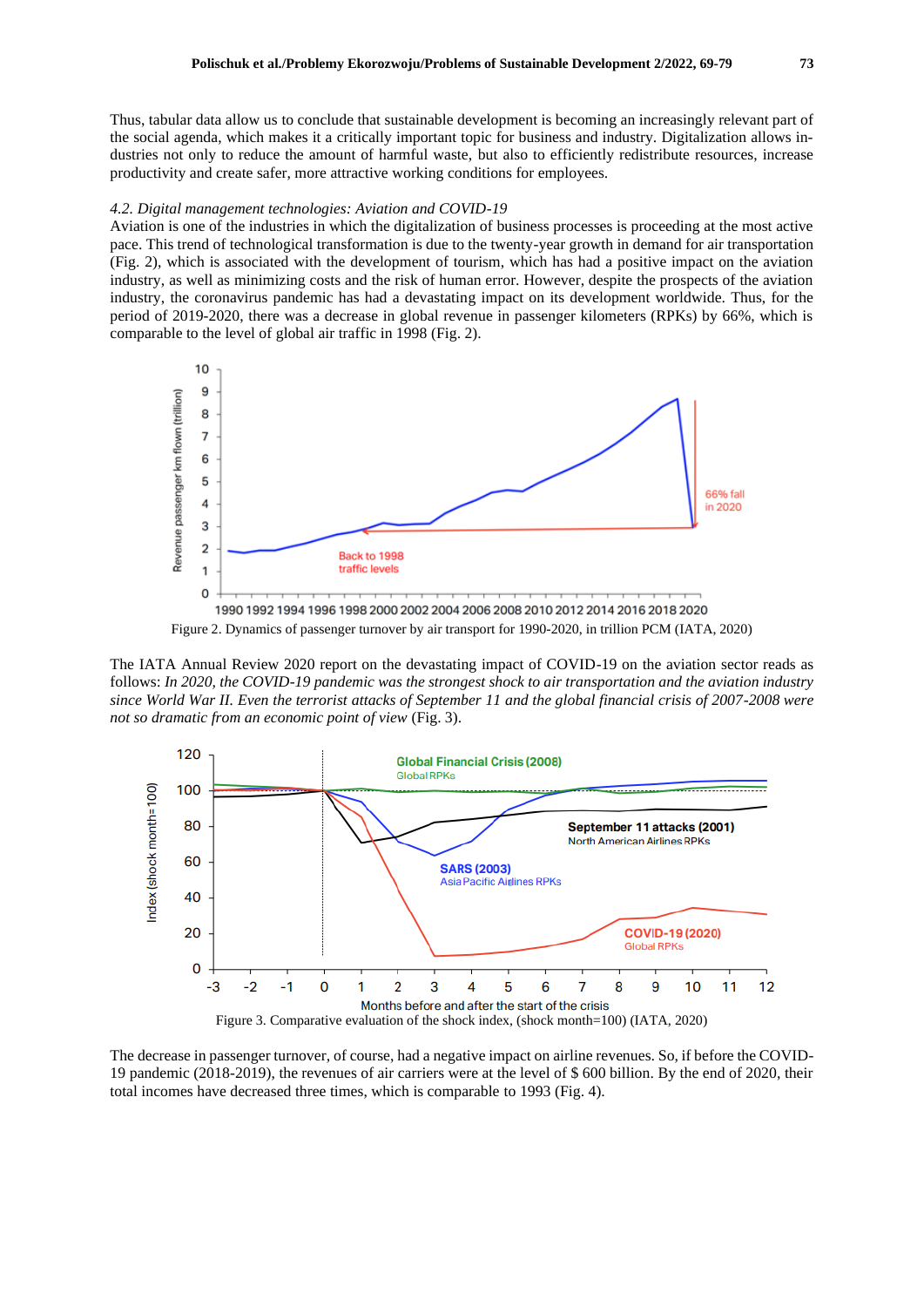Thus, tabular data allow us to conclude that sustainable development is becoming an increasingly relevant part of the social agenda, which makes it a critically important topic for business and industry. Digitalization allows industries not only to reduce the amount of harmful waste, but also to efficiently redistribute resources, increase productivity and create safer, more attractive working conditions for employees.

#### *4.2. Digital management technologies: Aviation and COVID-19*

Aviation is one of the industries in which the digitalization of business processes is proceeding at the most active pace. This trend of technological transformation is due to the twenty-year growth in demand for air transportation (Fig. 2), which is associated with the development of tourism, which has had a positive impact on the aviation industry, as well as minimizing costs and the risk of human error. However, despite the prospects of the aviation industry, the coronavirus pandemic has had a devastating impact on its development worldwide. Thus, for the period of 2019-2020, there was a decrease in global revenue in passenger kilometers (RPKs) by 66%, which is comparable to the level of global air traffic in 1998 (Fig. 2).



The IATA Annual Review 2020 report on the devastating impact of COVID-19 on the aviation sector reads as follows: *In 2020, the COVID-19 pandemic was the strongest shock to air transportation and the aviation industry since World War II. Even the terrorist attacks of September 11 and the global financial crisis of 2007-2008 were not so dramatic from an economic point of view* (Fig. 3).



The decrease in passenger turnover, of course, had a negative impact on airline revenues. So, if before the COVID-19 pandemic (2018-2019), the revenues of air carriers were at the level of \$ 600 billion. By the end of 2020, their total incomes have decreased three times, which is comparable to 1993 (Fig. 4).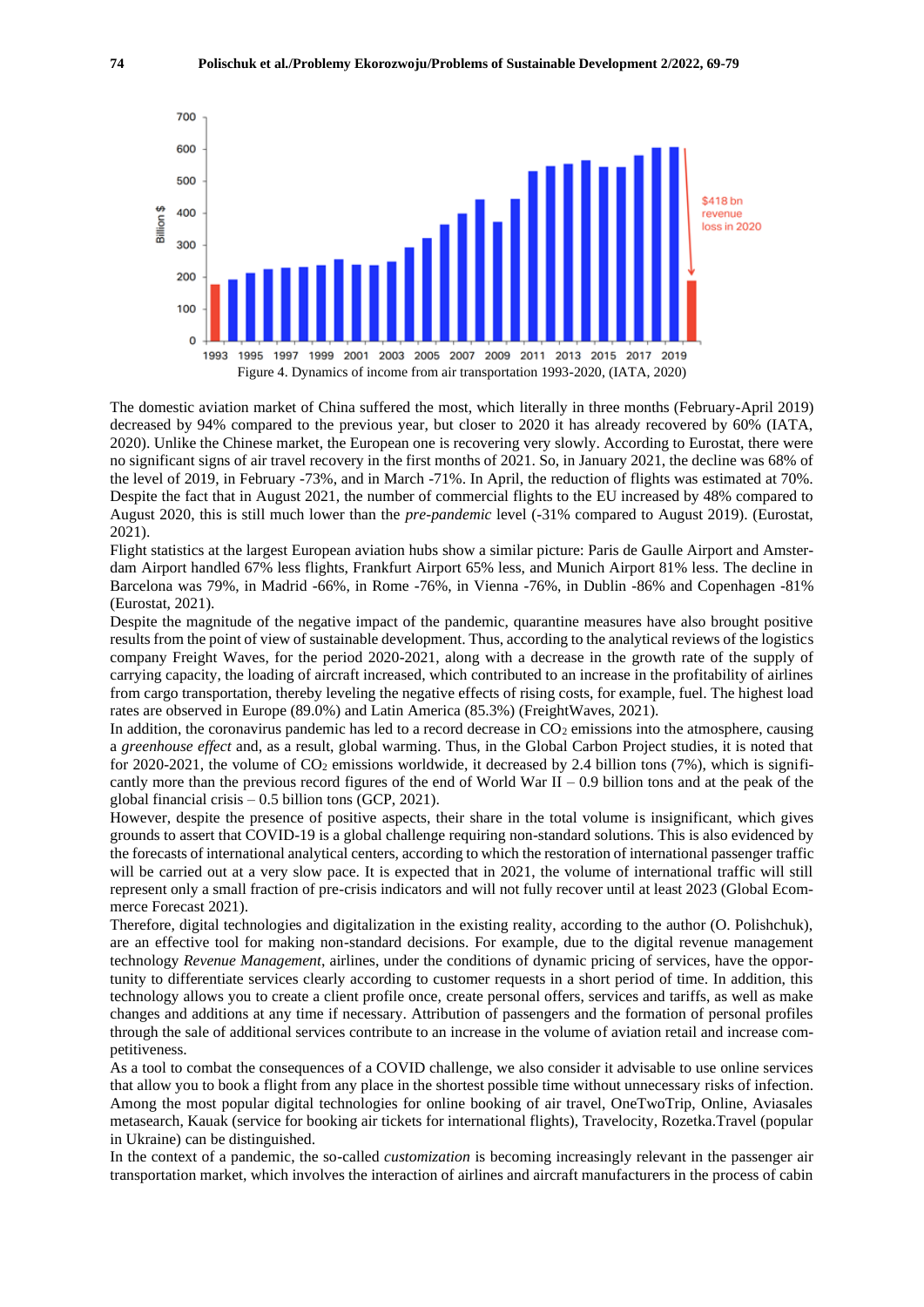

The domestic aviation market of China suffered the most, which literally in three months (February-April 2019) decreased by 94% compared to the previous year, but closer to 2020 it has already recovered by 60% (IATA, 2020). Unlike the Chinese market, the European one is recovering very slowly. According to Eurostat, there were no significant signs of air travel recovery in the first months of 2021. So, in January 2021, the decline was 68% of the level of 2019, in February -73%, and in March -71%. In April, the reduction of flights was estimated at 70%. Despite the fact that in August 2021, the number of commercial flights to the EU increased by 48% compared to August 2020, this is still much lower than the *pre-pandemic* level (-31% compared to August 2019). (Eurostat, 2021).

Flight statistics at the largest European aviation hubs show a similar picture: Paris de Gaulle Airport and Amsterdam Airport handled 67% less flights, Frankfurt Airport 65% less, and Munich Airport 81% less. The decline in Barcelona was 79%, in Madrid -66%, in Rome -76%, in Vienna -76%, in Dublin -86% and Copenhagen -81% (Eurostat, 2021).

Despite the magnitude of the negative impact of the pandemic, quarantine measures have also brought positive results from the point of view of sustainable development. Thus, according to the analytical reviews of the logistics company Freight Waves, for the period 2020-2021, along with a decrease in the growth rate of the supply of carrying capacity, the loading of aircraft increased, which contributed to an increase in the profitability of airlines from cargo transportation, thereby leveling the negative effects of rising costs, for example, fuel. The highest load rates are observed in Europe (89.0%) and Latin America (85.3%) (FreightWaves, 2021).

In addition, the coronavirus pandemic has led to a record decrease in  $CO<sub>2</sub>$  emissions into the atmosphere, causing a *greenhouse effect* and, as a result, global warming. Thus, in the Global Carbon Project studies, it is noted that for 2020-2021, the volume of  $CO_2$  emissions worldwide, it decreased by 2.4 billion tons (7%), which is significantly more than the previous record figures of the end of World War II – 0.9 billion tons and at the peak of the global financial crisis  $-0.5$  billion tons (GCP, 2021).

However, despite the presence of positive aspects, their share in the total volume is insignificant, which gives grounds to assert that COVID-19 is a global challenge requiring non-standard solutions. This is also evidenced by the forecasts of international analytical centers, according to which the restoration of international passenger traffic will be carried out at a very slow pace. It is expected that in 2021, the volume of international traffic will still represent only a small fraction of pre-crisis indicators and will not fully recover until at least 2023 (Global Ecommerce Forecast 2021).

Therefore, digital technologies and digitalization in the existing reality, according to the author (O. Polishchuk), are an effective tool for making non-standard decisions. For example, due to the digital revenue management technology *Revenue Management*, airlines, under the conditions of dynamic pricing of services, have the opportunity to differentiate services clearly according to customer requests in a short period of time. In addition, this technology allows you to create a client profile once, create personal offers, services and tariffs, as well as make changes and additions at any time if necessary. Attribution of passengers and the formation of personal profiles through the sale of additional services contribute to an increase in the volume of aviation retail and increase competitiveness.

As a tool to combat the consequences of a COVID challenge, we also consider it advisable to use online services that allow you to book a flight from any place in the shortest possible time without unnecessary risks of infection. Among the most popular digital technologies for online booking of air travel, OneTwoTrip, Online, Aviasales metasearch, Kauak (service for booking air tickets for international flights), Travelocity, Rozetka.Travel (popular in Ukraine) can be distinguished.

In the context of a pandemic, the so-called *customization* is becoming increasingly relevant in the passenger air transportation market, which involves the interaction of airlines and aircraft manufacturers in the process of cabin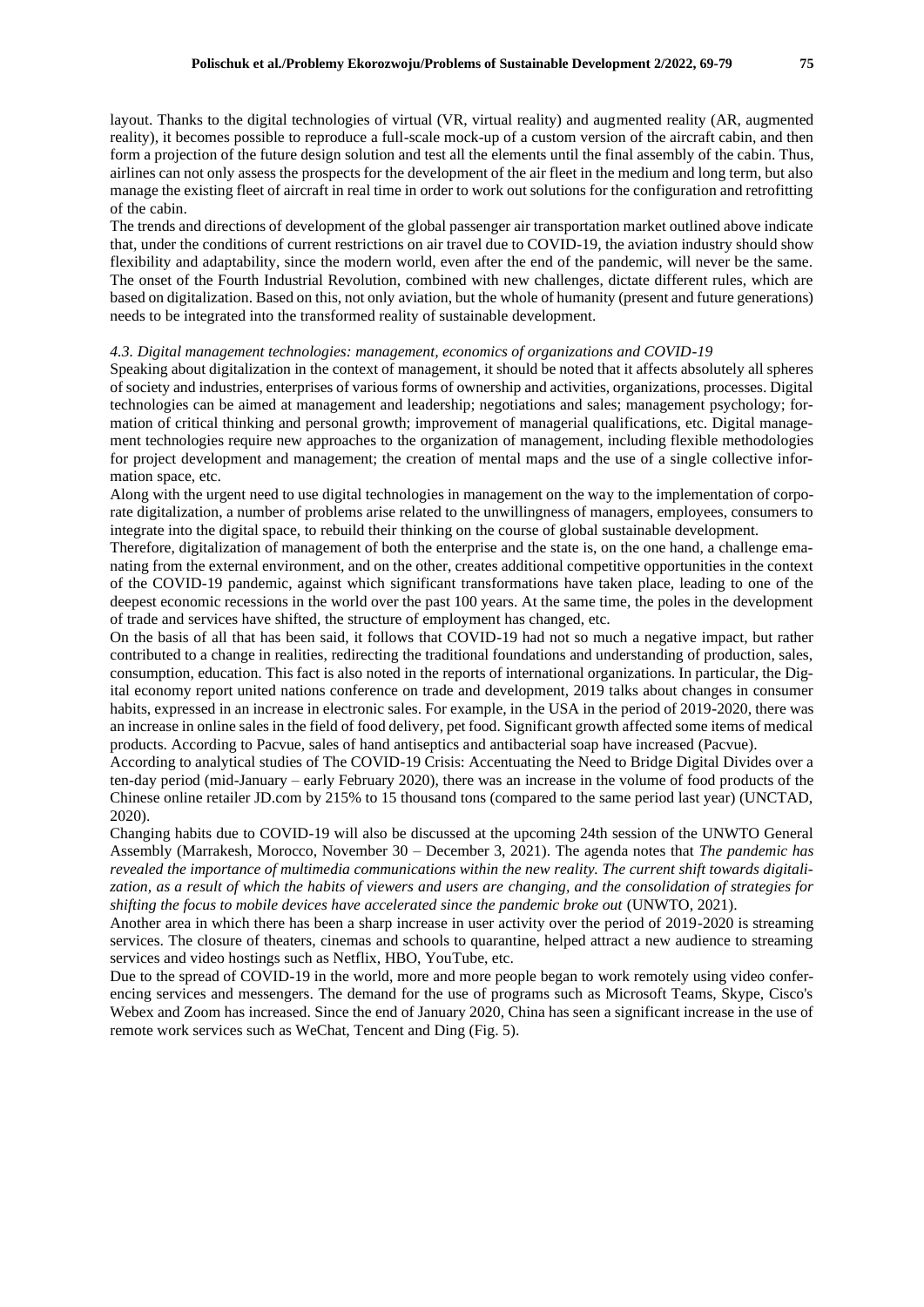layout. Thanks to the digital technologies of virtual (VR, virtual reality) and augmented reality (AR, augmented reality), it becomes possible to reproduce a full-scale mock-up of a custom version of the aircraft cabin, and then form a projection of the future design solution and test all the elements until the final assembly of the cabin. Thus, airlines can not only assess the prospects for the development of the air fleet in the medium and long term, but also manage the existing fleet of aircraft in real time in order to work out solutions for the configuration and retrofitting of the cabin.

The trends and directions of development of the global passenger air transportation market outlined above indicate that, under the conditions of current restrictions on air travel due to COVID-19, the aviation industry should show flexibility and adaptability, since the modern world, even after the end of the pandemic, will never be the same. The onset of the Fourth Industrial Revolution, combined with new challenges, dictate different rules, which are based on digitalization. Based on this, not only aviation, but the whole of humanity (present and future generations) needs to be integrated into the transformed reality of sustainable development.

#### *4.3. Digital management technologies: management, economics of organizations and COVID-19*

Speaking about digitalization in the context of management, it should be noted that it affects absolutely all spheres of society and industries, enterprises of various forms of ownership and activities, organizations, processes. Digital technologies can be aimed at management and leadership; negotiations and sales; management psychology; formation of critical thinking and personal growth; improvement of managerial qualifications, etc. Digital management technologies require new approaches to the organization of management, including flexible methodologies for project development and management; the creation of mental maps and the use of a single collective information space, etc.

Along with the urgent need to use digital technologies in management on the way to the implementation of corporate digitalization, a number of problems arise related to the unwillingness of managers, employees, consumers to integrate into the digital space, to rebuild their thinking on the course of global sustainable development.

Therefore, digitalization of management of both the enterprise and the state is, on the one hand, a challenge emanating from the external environment, and on the other, creates additional competitive opportunities in the context of the COVID-19 pandemic, against which significant transformations have taken place, leading to one of the deepest economic recessions in the world over the past 100 years. At the same time, the poles in the development of trade and services have shifted, the structure of employment has changed, etc.

On the basis of all that has been said, it follows that COVID-19 had not so much a negative impact, but rather contributed to a change in realities, redirecting the traditional foundations and understanding of production, sales, consumption, education. This fact is also noted in the reports of international organizations. In particular, the Digital economy report united nations conference on trade and development, 2019 talks about changes in consumer habits, expressed in an increase in electronic sales. For example, in the USA in the period of 2019-2020, there was an increase in online sales in the field of food delivery, pet food. Significant growth affected some items of medical products. According to Pacvue, sales of hand antiseptics and antibacterial soap have increased (Pacvue).

According to analytical studies of The COVID-19 Crisis: Accentuating the Need to Bridge Digital Divides over a ten-day period (mid-January – early February 2020), there was an increase in the volume of food products of the Chinese online retailer JD.com by 215% to 15 thousand tons (compared to the same period last year) (UNCTAD, 2020).

Changing habits due to COVID-19 will also be discussed at the upcoming 24th session of the UNWTO General Assembly (Marrakesh, Morocco, November 30 – December 3, 2021). The agenda notes that *The pandemic has revealed the importance of multimedia communications within the new reality. The current shift towards digitalization, as a result of which the habits of viewers and users are changing, and the consolidation of strategies for shifting the focus to mobile devices have accelerated since the pandemic broke out* (UNWTO, 2021).

Another area in which there has been a sharp increase in user activity over the period of 2019-2020 is streaming services. The closure of theaters, cinemas and schools to quarantine, helped attract a new audience to streaming services and video hostings such as Netflix, HBO, YouTube, etc.

Due to the spread of COVID-19 in the world, more and more people began to work remotely using video conferencing services and messengers. The demand for the use of programs such as Microsoft Teams, Skype, Cisco's Webex and Zoom has increased. Since the end of January 2020, China has seen a significant increase in the use of remote work services such as WeChat, Tencent and Ding (Fig. 5).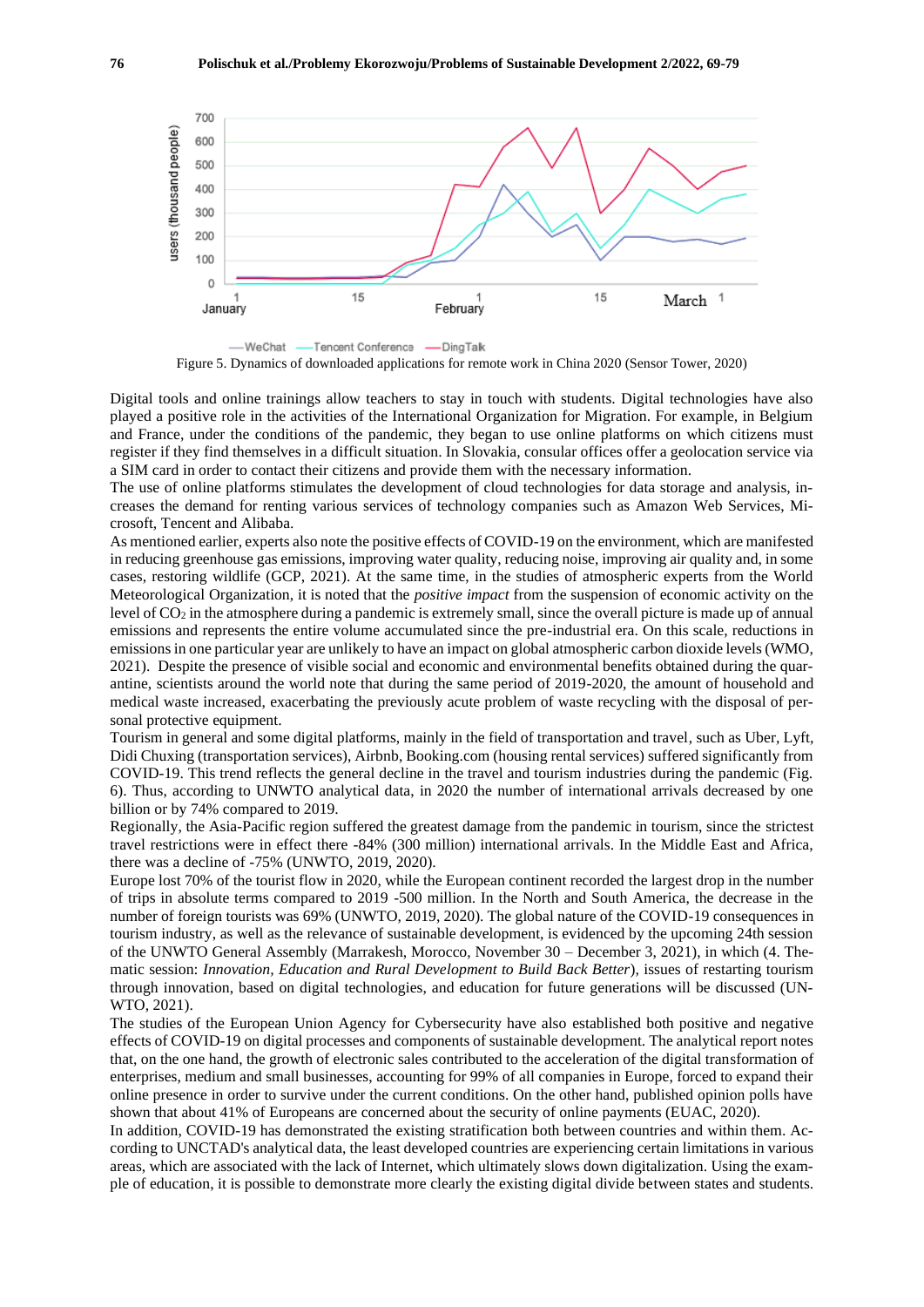

Figure 5. Dynamics of downloaded applications for remote work in China 2020 (Sensor Tower, 2020)

Digital tools and online trainings allow teachers to stay in touch with students. Digital technologies have also played a positive role in the activities of the International Organization for Migration. For example, in Belgium and France, under the conditions of the pandemic, they began to use online platforms on which citizens must register if they find themselves in a difficult situation. In Slovakia, consular offices offer a geolocation service via a SIM card in order to contact their citizens and provide them with the necessary information.

The use of online platforms stimulates the development of cloud technologies for data storage and analysis, increases the demand for renting various services of technology companies such as Amazon Web Services, Microsoft, Tencent and Alibaba.

As mentioned earlier, experts also note the positive effects of COVID-19 on the environment, which are manifested in reducing greenhouse gas emissions, improving water quality, reducing noise, improving air quality and, in some cases, restoring wildlife (GCP, 2021). At the same time, in the studies of atmospheric experts from the World Meteorological Organization, it is noted that the *positive impact* from the suspension of economic activity on the level of CO<sup>2</sup> in the atmosphere during a pandemic is extremely small, since the overall picture is made up of annual emissions and represents the entire volume accumulated since the pre-industrial era. On this scale, reductions in emissions in one particular year are unlikely to have an impact on global atmospheric carbon dioxide levels (WMO, 2021). Despite the presence of visible social and economic and environmental benefits obtained during the quarantine, scientists around the world note that during the same period of 2019-2020, the amount of household and medical waste increased, exacerbating the previously acute problem of waste recycling with the disposal of personal protective equipment.

Tourism in general and some digital platforms, mainly in the field of transportation and travel, such as Uber, Lyft, Didi Chuxing (transportation services), Airbnb, Booking.com (housing rental services) suffered significantly from COVID-19. This trend reflects the general decline in the travel and tourism industries during the pandemic (Fig. 6). Thus, according to UNWTO analytical data, in 2020 the number of international arrivals decreased by one billion or by 74% compared to 2019.

Regionally, the Asia-Pacific region suffered the greatest damage from the pandemic in tourism, since the strictest travel restrictions were in effect there -84% (300 million) international arrivals. In the Middle East and Africa, there was a decline of -75% (UNWTO, 2019, 2020).

Europe lost 70% of the tourist flow in 2020, while the European continent recorded the largest drop in the number of trips in absolute terms compared to 2019 -500 million. In the North and South America, the decrease in the number of foreign tourists was 69% (UNWTO, 2019, 2020). The global nature of the COVID-19 consequences in tourism industry, as well as the relevance of sustainable development, is evidenced by the upcoming 24th session of the UNWTO General Assembly (Marrakesh, Morocco, November 30 – December 3, 2021), in which (4. Thematic session: *Innovation, Education and Rural Development to Build Back Better*), issues of restarting tourism through innovation, based on digital technologies, and education for future generations will be discussed (UN-WTO, 2021).

The studies of the European Union Agency for Cybersecurity have also established both positive and negative effects of COVID-19 on digital processes and components of sustainable development. The analytical report notes that, on the one hand, the growth of electronic sales contributed to the acceleration of the digital transformation of enterprises, medium and small businesses, accounting for 99% of all companies in Europe, forced to expand their online presence in order to survive under the current conditions. On the other hand, published opinion polls have shown that about 41% of Europeans are concerned about the security of online payments (EUAC, 2020).

In addition, COVID-19 has demonstrated the existing stratification both between countries and within them. According to UNCTAD's analytical data, the least developed countries are experiencing certain limitations in various areas, which are associated with the lack of Internet, which ultimately slows down digitalization. Using the example of education, it is possible to demonstrate more clearly the existing digital divide between states and students.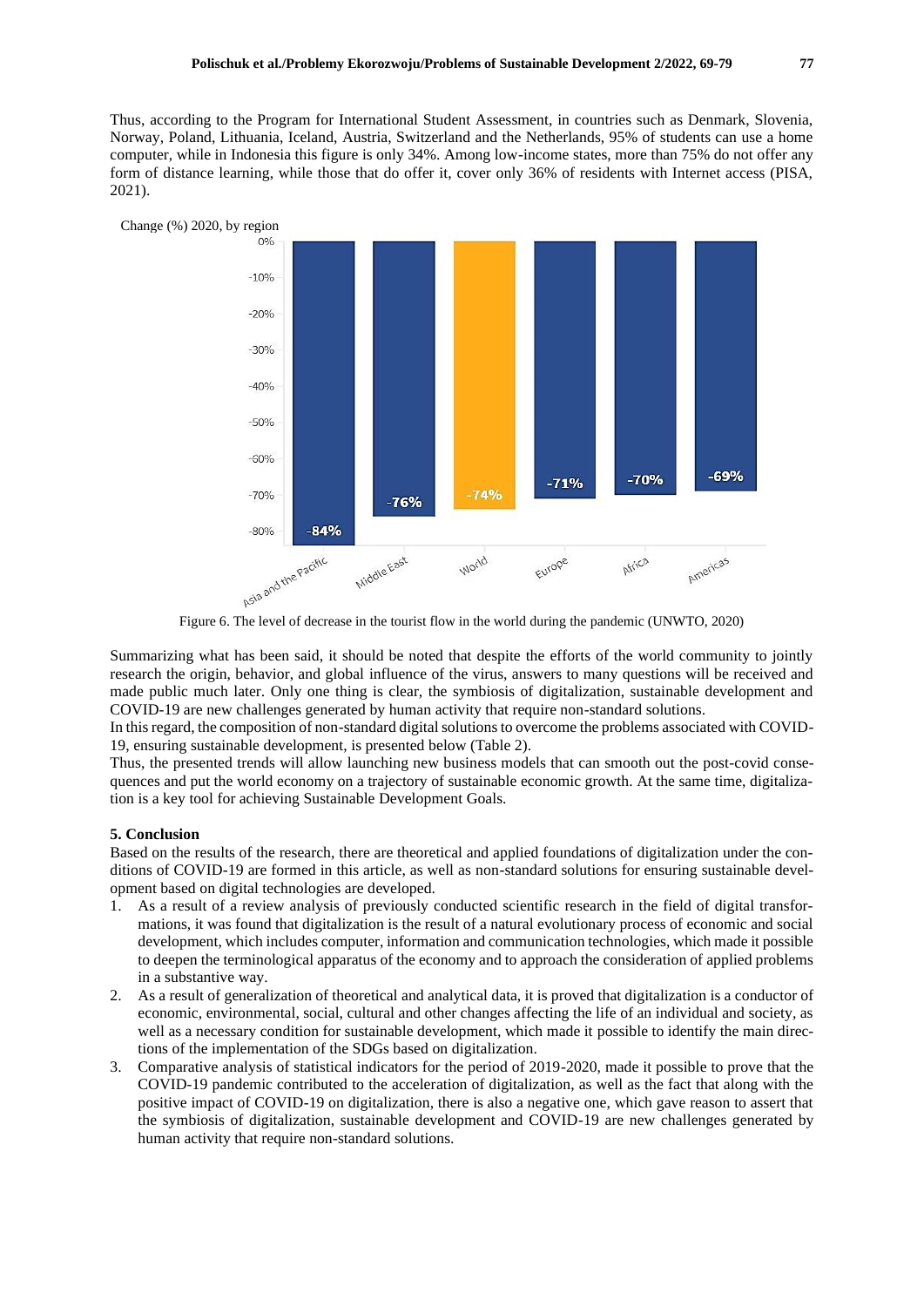Thus, according to the Program for International Student Assessment, in countries such as Denmark, Slovenia, Norway, Poland, Lithuania, Iceland, Austria, Switzerland and the Netherlands, 95% of students can use a home computer, while in Indonesia this figure is only 34%. Among low-income states, more than 75% do not offer any form of distance learning, while those that do offer it, cover only 36% of residents with Internet access (PISA, 2021).



Figure 6. The level of decrease in the tourist flow in the world during the pandemic (UNWTO, 2020)

Summarizing what has been said, it should be noted that despite the efforts of the world community to jointly research the origin, behavior, and global influence of the virus, answers to many questions will be received and made public much later. Only one thing is clear, the symbiosis of digitalization, sustainable development and COVID-19 are new challenges generated by human activity that require non-standard solutions.

In this regard, the composition of non-standard digital solutions to overcome the problems associated with COVID-19, ensuring sustainable development, is presented below (Table 2).

Thus, the presented trends will allow launching new business models that can smooth out the post-covid consequences and put the world economy on a trajectory of sustainable economic growth. At the same time, digitalization is a key tool for achieving Sustainable Development Goals.

#### **5. Conclusion**

Based on the results of the research, there are theoretical and applied foundations of digitalization under the conditions of COVID-19 are formed in this article, as well as non-standard solutions for ensuring sustainable development based on digital technologies are developed.

- 1. As a result of a review analysis of previously conducted scientific research in the field of digital transformations, it was found that digitalization is the result of a natural evolutionary process of economic and social development, which includes computer, information and communication technologies, which made it possible to deepen the terminological apparatus of the economy and to approach the consideration of applied problems in a substantive way.
- 2. As a result of generalization of theoretical and analytical data, it is proved that digitalization is a conductor of economic, environmental, social, cultural and other changes affecting the life of an individual and society, as well as a necessary condition for sustainable development, which made it possible to identify the main directions of the implementation of the SDGs based on digitalization.
- 3. Comparative analysis of statistical indicators for the period of 2019-2020, made it possible to prove that the COVID-19 pandemic contributed to the acceleration of digitalization, as well as the fact that along with the positive impact of COVID-19 on digitalization, there is also a negative one, which gave reason to assert that the symbiosis of digitalization, sustainable development and COVID-19 are new challenges generated by human activity that require non-standard solutions.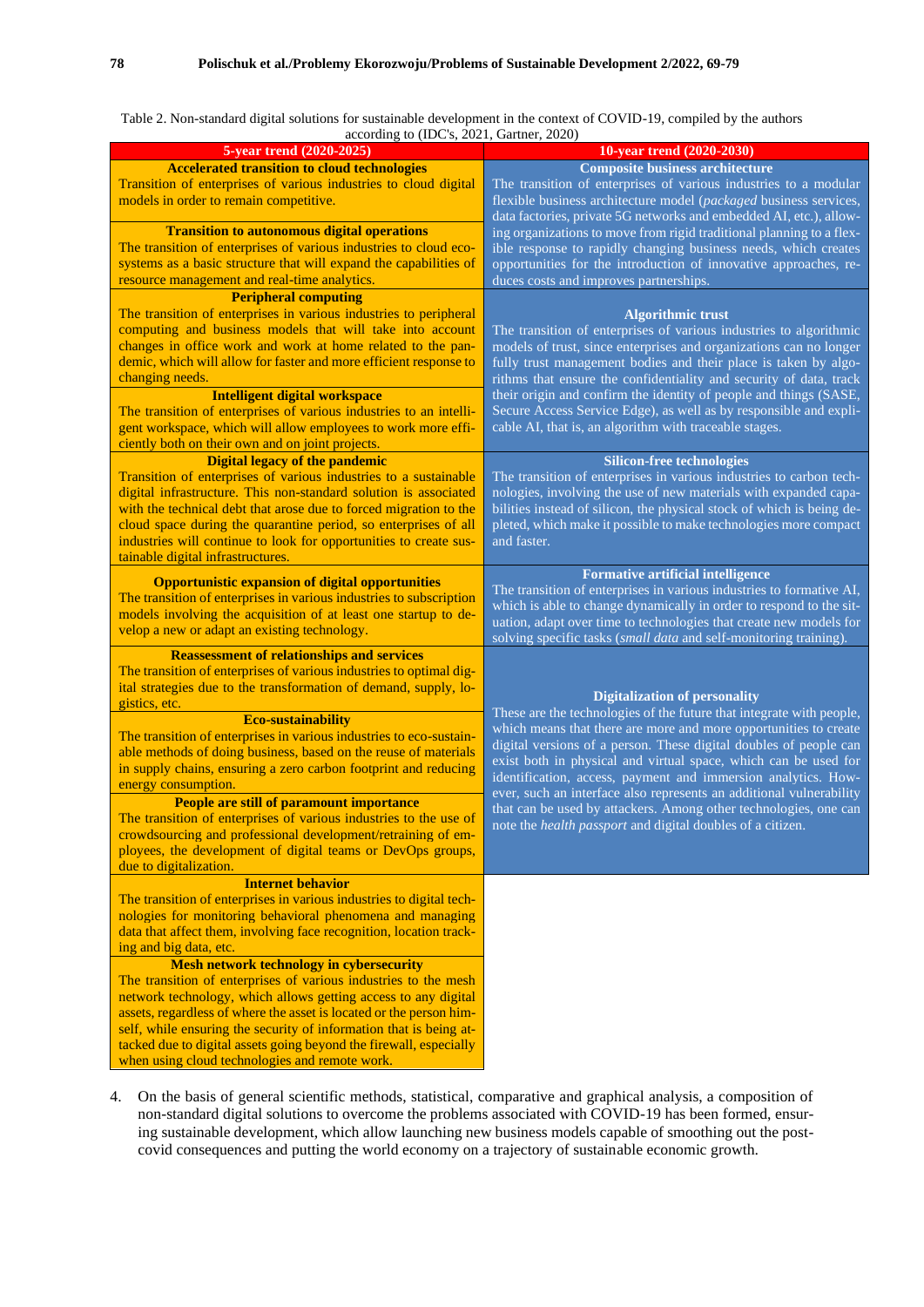Table 2. Non-standard digital solutions for sustainable development in the context of COVID-19, compiled by the authors  $r_{\text{data}}$  to (IDC's, 2021, Gartner, 2020)

| according to (IDC s, $2021$ , Gartner, $2020$ )                                                                                     |                                                                                                                                       |
|-------------------------------------------------------------------------------------------------------------------------------------|---------------------------------------------------------------------------------------------------------------------------------------|
| 5-year trend (2020-2025)<br><b>Accelerated transition to cloud technologies</b>                                                     | 10-year trend (2020-2030)<br><b>Composite business architecture</b>                                                                   |
| Transition of enterprises of various industries to cloud digital                                                                    | The transition of enterprises of various industries to a modular                                                                      |
| models in order to remain competitive.                                                                                              | flexible business architecture model (packaged business services,                                                                     |
|                                                                                                                                     |                                                                                                                                       |
| <b>Transition to autonomous digital operations</b>                                                                                  | data factories, private 5G networks and embedded AI, etc.), allow-                                                                    |
| The transition of enterprises of various industries to cloud eco-                                                                   | ing organizations to move from rigid traditional planning to a flex-                                                                  |
| systems as a basic structure that will expand the capabilities of                                                                   | ible response to rapidly changing business needs, which creates<br>opportunities for the introduction of innovative approaches, re-   |
| resource management and real-time analytics.                                                                                        | duces costs and improves partnerships.                                                                                                |
| <b>Peripheral computing</b>                                                                                                         |                                                                                                                                       |
| The transition of enterprises in various industries to peripheral                                                                   |                                                                                                                                       |
| computing and business models that will take into account                                                                           | <b>Algorithmic trust</b>                                                                                                              |
| changes in office work and work at home related to the pan-                                                                         | The transition of enterprises of various industries to algorithmic                                                                    |
| demic, which will allow for faster and more efficient response to                                                                   | models of trust, since enterprises and organizations can no longer                                                                    |
| changing needs.                                                                                                                     | fully trust management bodies and their place is taken by algo-<br>rithms that ensure the confidentiality and security of data, track |
|                                                                                                                                     | their origin and confirm the identity of people and things (SASE,                                                                     |
| <b>Intelligent digital workspace</b>                                                                                                | Secure Access Service Edge), as well as by responsible and expli-                                                                     |
| The transition of enterprises of various industries to an intelli-<br>gent workspace, which will allow employees to work more effi- | cable AI, that is, an algorithm with traceable stages.                                                                                |
|                                                                                                                                     |                                                                                                                                       |
| ciently both on their own and on joint projects.<br><b>Digital legacy of the pandemic</b>                                           |                                                                                                                                       |
|                                                                                                                                     | <b>Silicon-free technologies</b>                                                                                                      |
| Transition of enterprises of various industries to a sustainable                                                                    | The transition of enterprises in various industries to carbon tech-                                                                   |
| digital infrastructure. This non-standard solution is associated                                                                    | nologies, involving the use of new materials with expanded capa-                                                                      |
| with the technical debt that arose due to forced migration to the                                                                   | bilities instead of silicon, the physical stock of which is being de-                                                                 |
| cloud space during the quarantine period, so enterprises of all                                                                     | pleted, which make it possible to make technologies more compact<br>and faster.                                                       |
| industries will continue to look for opportunities to create sus-<br>tainable digital infrastructures.                              |                                                                                                                                       |
|                                                                                                                                     | <b>Formative artificial intelligence</b>                                                                                              |
| <b>Opportunistic expansion of digital opportunities</b>                                                                             | The transition of enterprises in various industries to formative AI,                                                                  |
| The transition of enterprises in various industries to subscription                                                                 | which is able to change dynamically in order to respond to the sit-                                                                   |
| models involving the acquisition of at least one startup to de-                                                                     | uation, adapt over time to technologies that create new models for                                                                    |
| velop a new or adapt an existing technology.                                                                                        | solving specific tasks (small data and self-monitoring training).                                                                     |
| <b>Reassessment of relationships and services</b>                                                                                   |                                                                                                                                       |
| The transition of enterprises of various industries to optimal dig-                                                                 |                                                                                                                                       |
| ital strategies due to the transformation of demand, supply, lo-                                                                    |                                                                                                                                       |
| gistics, etc.                                                                                                                       | <b>Digitalization of personality</b>                                                                                                  |
| <b>Eco-sustainability</b>                                                                                                           | These are the technologies of the future that integrate with people,                                                                  |
| The transition of enterprises in various industries to eco-sustain-                                                                 | which means that there are more and more opportunities to create                                                                      |
| able methods of doing business, based on the reuse of materials                                                                     | digital versions of a person. These digital doubles of people can                                                                     |
| in supply chains, ensuring a zero carbon footprint and reducing                                                                     | exist both in physical and virtual space, which can be used for                                                                       |
| energy consumption.                                                                                                                 | identification, access, payment and immersion analytics. How-                                                                         |
| People are still of paramount importance                                                                                            | ever, such an interface also represents an additional vulnerability                                                                   |
| The transition of enterprises of various industries to the use of                                                                   | that can be used by attackers. Among other technologies, one can                                                                      |
| crowdsourcing and professional development/retraining of em-                                                                        | note the health passport and digital doubles of a citizen.                                                                            |
| ployees, the development of digital teams or DevOps groups,                                                                         |                                                                                                                                       |
| due to digitalization.                                                                                                              |                                                                                                                                       |
| <b>Internet behavior</b>                                                                                                            |                                                                                                                                       |
| The transition of enterprises in various industries to digital tech-                                                                |                                                                                                                                       |
| nologies for monitoring behavioral phenomena and managing                                                                           |                                                                                                                                       |
| data that affect them, involving face recognition, location track-                                                                  |                                                                                                                                       |
| ing and big data, etc.                                                                                                              |                                                                                                                                       |
| <b>Mesh network technology in cybersecurity</b>                                                                                     |                                                                                                                                       |
| The transition of enterprises of various industries to the mesh                                                                     |                                                                                                                                       |
| network technology, which allows getting access to any digital                                                                      |                                                                                                                                       |
| assets, regardless of where the asset is located or the person him-                                                                 |                                                                                                                                       |
| self, while ensuring the security of information that is being at-                                                                  |                                                                                                                                       |
| tacked due to digital assets going beyond the firewall, especially                                                                  |                                                                                                                                       |
| when using cloud technologies and remote work.                                                                                      |                                                                                                                                       |
|                                                                                                                                     |                                                                                                                                       |

4. On the basis of general scientific methods, statistical, comparative and graphical analysis, a composition of non-standard digital solutions to overcome the problems associated with COVID-19 has been formed, ensuring sustainable development, which allow launching new business models capable of smoothing out the postcovid consequences and putting the world economy on a trajectory of sustainable economic growth.